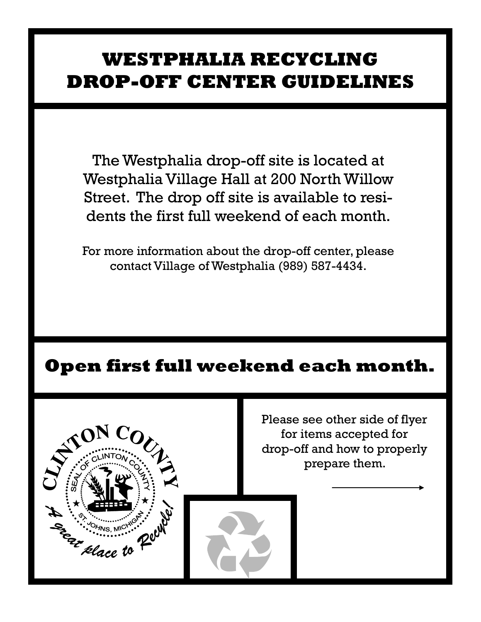## **WESTPHALIA RECYCLING DROP-OFF CENTER GUIDELINES**

The Westphalia drop-off site is located at Westphalia Village Hall at 200 North Willow Street. The drop off site is available to residents the first full weekend of each month.

For more information about the drop-off center, please contact Village of Westphalia (989) 587-4434.

## **Open first full weekend each month.**